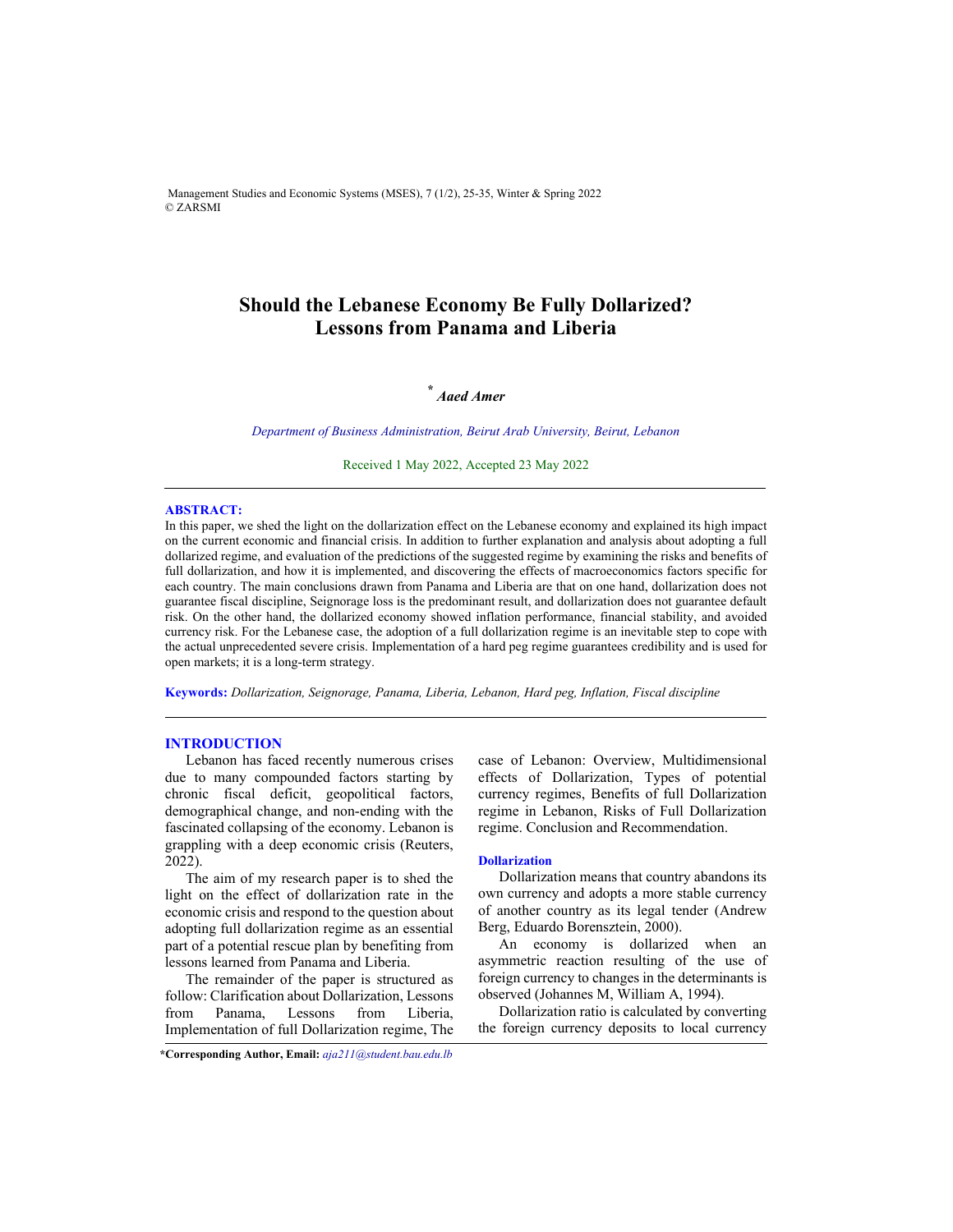Management Studies and Economic Systems (MSES), 7 (1/2), 25-35, Winter & Spring 2022 © ZARSMI

# **Should the Lebanese Economy Be Fully Dollarized? Lessons from Panama and Liberia**

# *\* Aaed Amer*

*Department of Business Administration, Beirut Arab University, Beirut, Lebanon* 

Received 1 May 2022, Accepted 23 May 2022

#### **ABSTRACT:**

In this paper, we shed the light on the dollarization effect on the Lebanese economy and explained its high impact on the current economic and financial crisis. In addition to further explanation and analysis about adopting a full dollarized regime, and evaluation of the predictions of the suggested regime by examining the risks and benefits of full dollarization, and how it is implemented, and discovering the effects of macroeconomics factors specific for each country. The main conclusions drawn from Panama and Liberia are that on one hand, dollarization does not guarantee fiscal discipline, Seignorage loss is the predominant result, and dollarization does not guarantee default risk. On the other hand, the dollarized economy showed inflation performance, financial stability, and avoided currency risk. For the Lebanese case, the adoption of a full dollarization regime is an inevitable step to cope with the actual unprecedented severe crisis. Implementation of a hard peg regime guarantees credibility and is used for open markets; it is a long-term strategy.

**Keywords:** *Dollarization, Seignorage, Panama, Liberia, Lebanon, Hard peg, Inflation, Fiscal discipline*

#### **INTRODUCTION**

Lebanon has faced recently numerous crises due to many compounded factors starting by chronic fiscal deficit, geopolitical factors, demographical change, and non-ending with the fascinated collapsing of the economy. Lebanon is grappling with a deep economic crisis (Reuters, 2022).

The aim of my research paper is to shed the light on the effect of dollarization rate in the economic crisis and respond to the question about adopting full dollarization regime as an essential part of a potential rescue plan by benefiting from lessons learned from Panama and Liberia.

The remainder of the paper is structured as follow: Clarification about Dollarization, Lessons from Panama, Lessons from Liberia, Implementation of full Dollarization regime, The case of Lebanon: Overview, Multidimensional effects of Dollarization, Types of potential currency regimes, Benefits of full Dollarization regime in Lebanon, Risks of Full Dollarization regime. Conclusion and Recommendation.

## **Dollarization**

Dollarization means that country abandons its own currency and adopts a more stable currency of another country as its legal tender (Andrew Berg, Eduardo Borensztein, 2000).

An economy is dollarized when an asymmetric reaction resulting of the use of foreign currency to changes in the determinants is observed (Johannes M, William A, 1994).

Dollarization ratio is calculated by converting the foreign currency deposits to local currency

**\*Corresponding Author, Email:** *aja211@student.bau.edu.lb*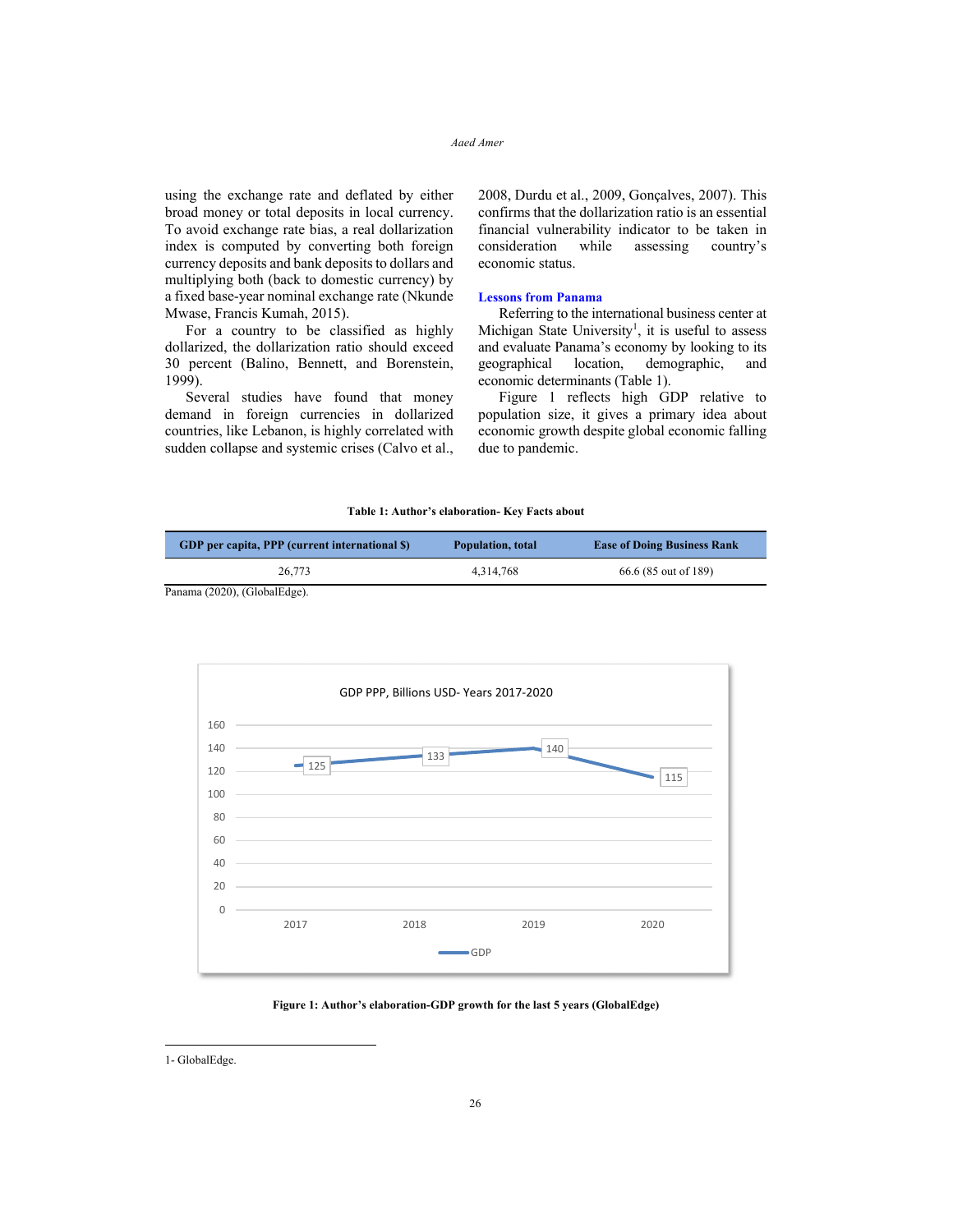using the exchange rate and deflated by either broad money or total deposits in local currency. To avoid exchange rate bias, a real dollarization index is computed by converting both foreign currency deposits and bank deposits to dollars and multiplying both (back to domestic currency) by a fixed base-year nominal exchange rate (Nkunde Mwase, Francis Kumah, 2015).

For a country to be classified as highly dollarized, the dollarization ratio should exceed 30 percent (Balino, Bennett, and Borenstein, 1999).

Several studies have found that money demand in foreign currencies in dollarized countries, like Lebanon, is highly correlated with sudden collapse and systemic crises (Calvo et al., 2008, Durdu et al., 2009, Gonçalves, 2007). This confirms that the dollarization ratio is an essential financial vulnerability indicator to be taken in consideration while assessing country's economic status.

## **Lessons from Panama**

Referring to the international business center at Michigan State University<sup>1</sup>, it is useful to assess and evaluate Panama's economy by looking to its geographical location, demographic, and economic determinants (Table 1).

Figure 1 reflects high GDP relative to population size, it gives a primary idea about economic growth despite global economic falling due to pandemic.

#### **Table 1: Author's elaboration- Key Facts about**

| GDP per capita, PPP (current international \$) | Population, total | <b>Ease of Doing Business Rank</b> |
|------------------------------------------------|-------------------|------------------------------------|
| 26,773                                         | 4.314.768         | 66.6 (85 out of 189)               |

Panama (2020), (GlobalEdge).



**Figure 1: Author's elaboration-GDP growth for the last 5 years (GlobalEdge)** 

<sup>1-</sup> GlobalEdge.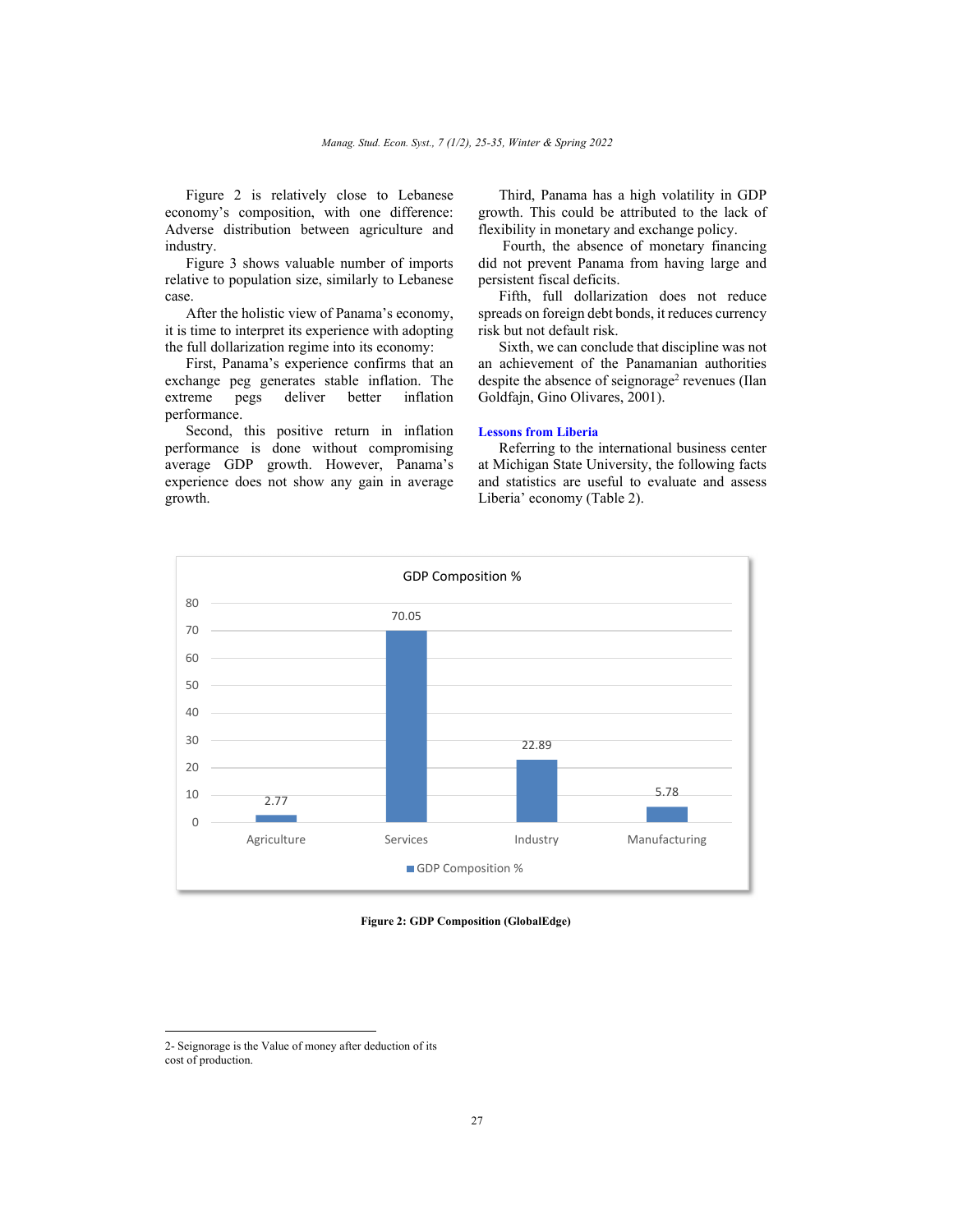Figure 2 is relatively close to Lebanese economy's composition, with one difference: Adverse distribution between agriculture and industry.

Figure 3 shows valuable number of imports relative to population size, similarly to Lebanese case.

After the holistic view of Panama's economy, it is time to interpret its experience with adopting the full dollarization regime into its economy:

First, Panama's experience confirms that an exchange peg generates stable inflation. The extreme pegs deliver better inflation performance.

Second, this positive return in inflation performance is done without compromising average GDP growth. However, Panama's experience does not show any gain in average growth.

Third, Panama has a high volatility in GDP growth. This could be attributed to the lack of flexibility in monetary and exchange policy.

 Fourth, the absence of monetary financing did not prevent Panama from having large and persistent fiscal deficits.

Fifth, full dollarization does not reduce spreads on foreign debt bonds, it reduces currency risk but not default risk.

Sixth, we can conclude that discipline was not an achievement of the Panamanian authorities despite the absence of seignorage<sup>2</sup> revenues (Ilan Goldfajn, Gino Olivares, 2001).

# **Lessons from Liberia**

Referring to the international business center at Michigan State University, the following facts and statistics are useful to evaluate and assess Liberia' economy (Table 2).



**Figure 2: GDP Composition (GlobalEdge)** 

<sup>2-</sup> Seignorage is the Value of money after deduction of its cost of production.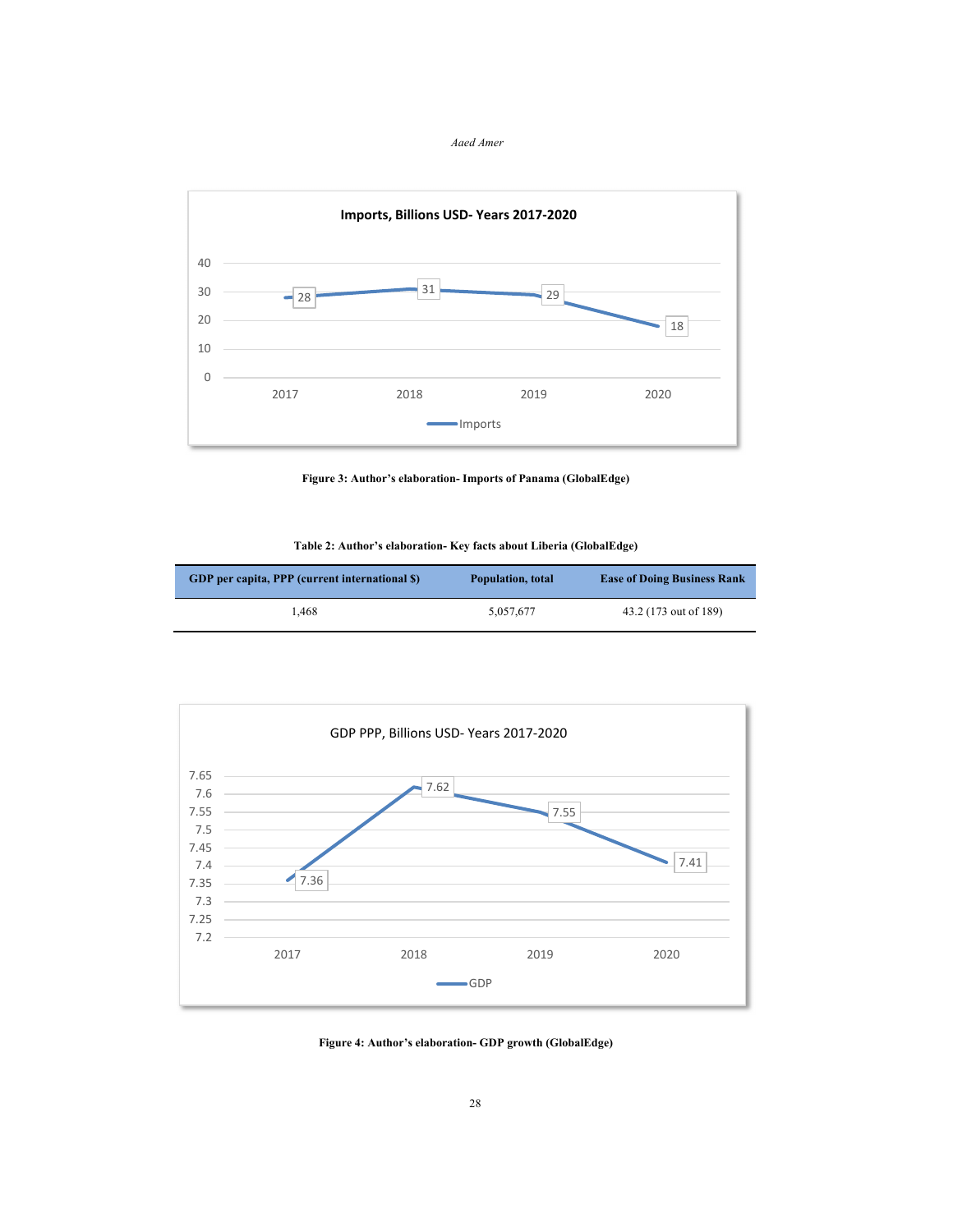*Aaed Amer*



**Figure 3: Author's elaboration- Imports of Panama (GlobalEdge)** 

| Table 2: Author's elaboration- Key facts about Liberia (GlobalEdge) |  |  |
|---------------------------------------------------------------------|--|--|
|---------------------------------------------------------------------|--|--|

| GDP per capita, PPP (current international \$) | Population, total | <b>Ease of Doing Business Rank</b> |
|------------------------------------------------|-------------------|------------------------------------|
| 1.468                                          | 5.057.677         | 43.2 (173 out of 189)              |



**Figure 4: Author's elaboration- GDP growth (GlobalEdge)**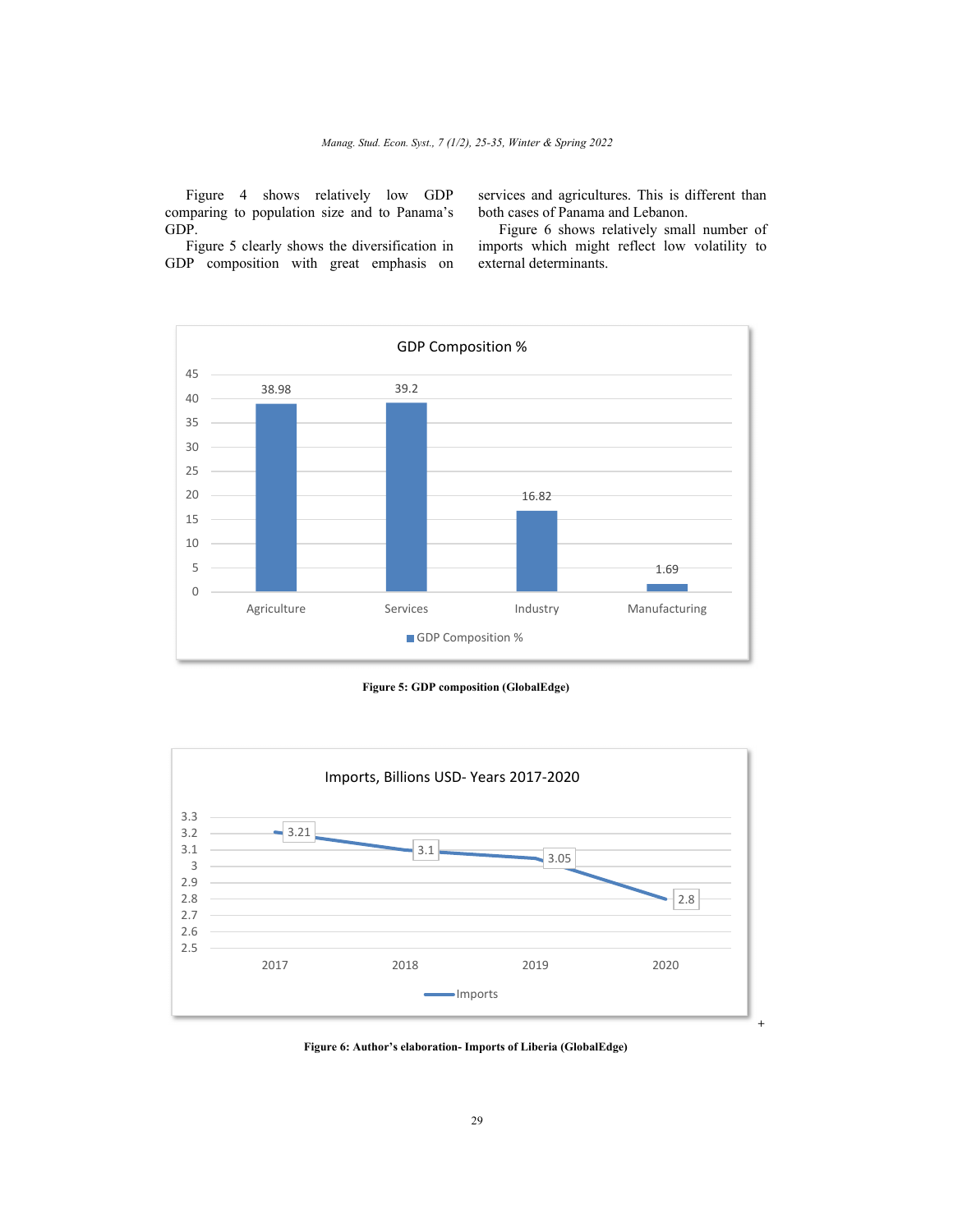Figure 4 shows relatively low GDP comparing to population size and to Panama's GDP.

Figure 5 clearly shows the diversification in GDP composition with great emphasis on

services and agricultures. This is different than both cases of Panama and Lebanon.

Figure 6 shows relatively small number of imports which might reflect low volatility to external determinants.



**Figure 5: GDP composition (GlobalEdge)** 



**Figure 6: Author's elaboration- Imports of Liberia (GlobalEdge)**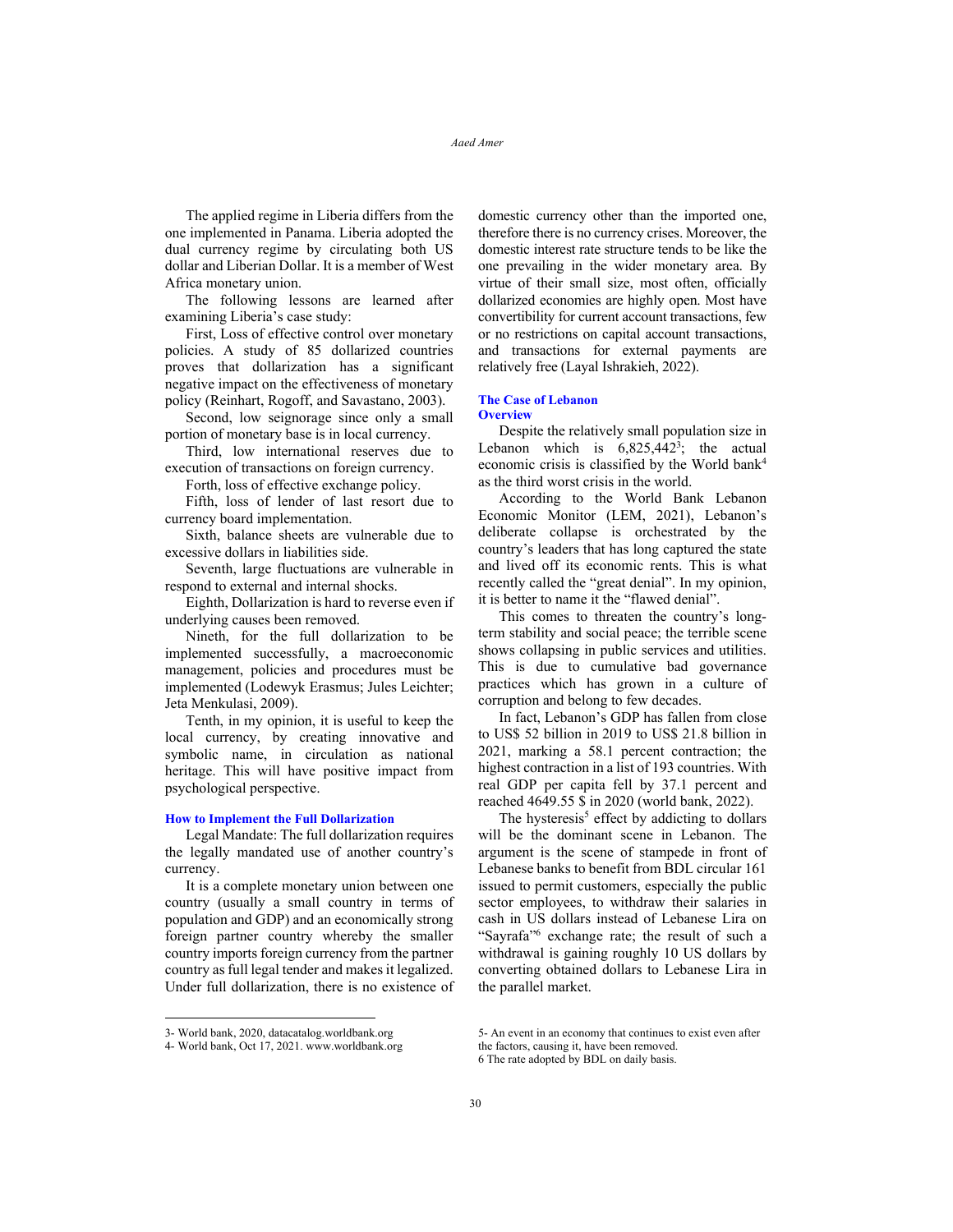The applied regime in Liberia differs from the one implemented in Panama. Liberia adopted the dual currency regime by circulating both US dollar and Liberian Dollar. It is a member of West Africa monetary union.

The following lessons are learned after examining Liberia's case study:

First, Loss of effective control over monetary policies. A study of 85 dollarized countries proves that dollarization has a significant negative impact on the effectiveness of monetary policy (Reinhart, Rogoff, and Savastano, 2003).

Second, low seignorage since only a small portion of monetary base is in local currency.

Third, low international reserves due to execution of transactions on foreign currency.

Forth, loss of effective exchange policy.

Fifth, loss of lender of last resort due to currency board implementation.

Sixth, balance sheets are vulnerable due to excessive dollars in liabilities side.

Seventh, large fluctuations are vulnerable in respond to external and internal shocks.

Eighth, Dollarization is hard to reverse even if underlying causes been removed.

Nineth, for the full dollarization to be implemented successfully, a macroeconomic management, policies and procedures must be implemented (Lodewyk Erasmus; Jules Leichter; Jeta Menkulasi, 2009).

Tenth, in my opinion, it is useful to keep the local currency, by creating innovative and symbolic name, in circulation as national heritage. This will have positive impact from psychological perspective.

## **How to Implement the Full Dollarization**

Legal Mandate: The full dollarization requires the legally mandated use of another country's currency.

It is a complete monetary union between one country (usually a small country in terms of population and GDP) and an economically strong foreign partner country whereby the smaller country imports foreign currency from the partner country as full legal tender and makes it legalized. Under full dollarization, there is no existence of

domestic currency other than the imported one, therefore there is no currency crises. Moreover, the domestic interest rate structure tends to be like the one prevailing in the wider monetary area. By virtue of their small size, most often, officially dollarized economies are highly open. Most have convertibility for current account transactions, few or no restrictions on capital account transactions, and transactions for external payments are relatively free (Layal Ishrakieh, 2022).

#### **The Case of Lebanon Overview**

Despite the relatively small population size in Lebanon which is  $6,825,442^3$ ; the actual economic crisis is classified by the World bank4 as the third worst crisis in the world.

According to the World Bank Lebanon Economic Monitor (LEM, 2021), Lebanon's deliberate collapse is orchestrated by the country's leaders that has long captured the state and lived off its economic rents. This is what recently called the "great denial". In my opinion, it is better to name it the "flawed denial".

This comes to threaten the country's longterm stability and social peace; the terrible scene shows collapsing in public services and utilities. This is due to cumulative bad governance practices which has grown in a culture of corruption and belong to few decades.

In fact, Lebanon's GDP has fallen from close to US\$ 52 billion in 2019 to US\$ 21.8 billion in 2021, marking a 58.1 percent contraction; the highest contraction in a list of 193 countries. With real GDP per capita fell by 37.1 percent and reached 4649.55 \$ in 2020 (world bank, 2022).

The hysteresis<sup>5</sup> effect by addicting to dollars will be the dominant scene in Lebanon. The argument is the scene of stampede in front of Lebanese banks to benefit from BDL circular 161 issued to permit customers, especially the public sector employees, to withdraw their salaries in cash in US dollars instead of Lebanese Lira on "Sayrafa"<sup>6</sup> exchange rate; the result of such a withdrawal is gaining roughly 10 US dollars by converting obtained dollars to Lebanese Lira in the parallel market.

<sup>3-</sup> World bank, 2020, datacatalog.worldbank.org

<sup>4-</sup> World bank, Oct 17, 2021. www.worldbank.org

<sup>5-</sup> An event in an economy that continues to exist even after the factors, causing it, have been removed.

<sup>6</sup> The rate adopted by BDL on daily basis.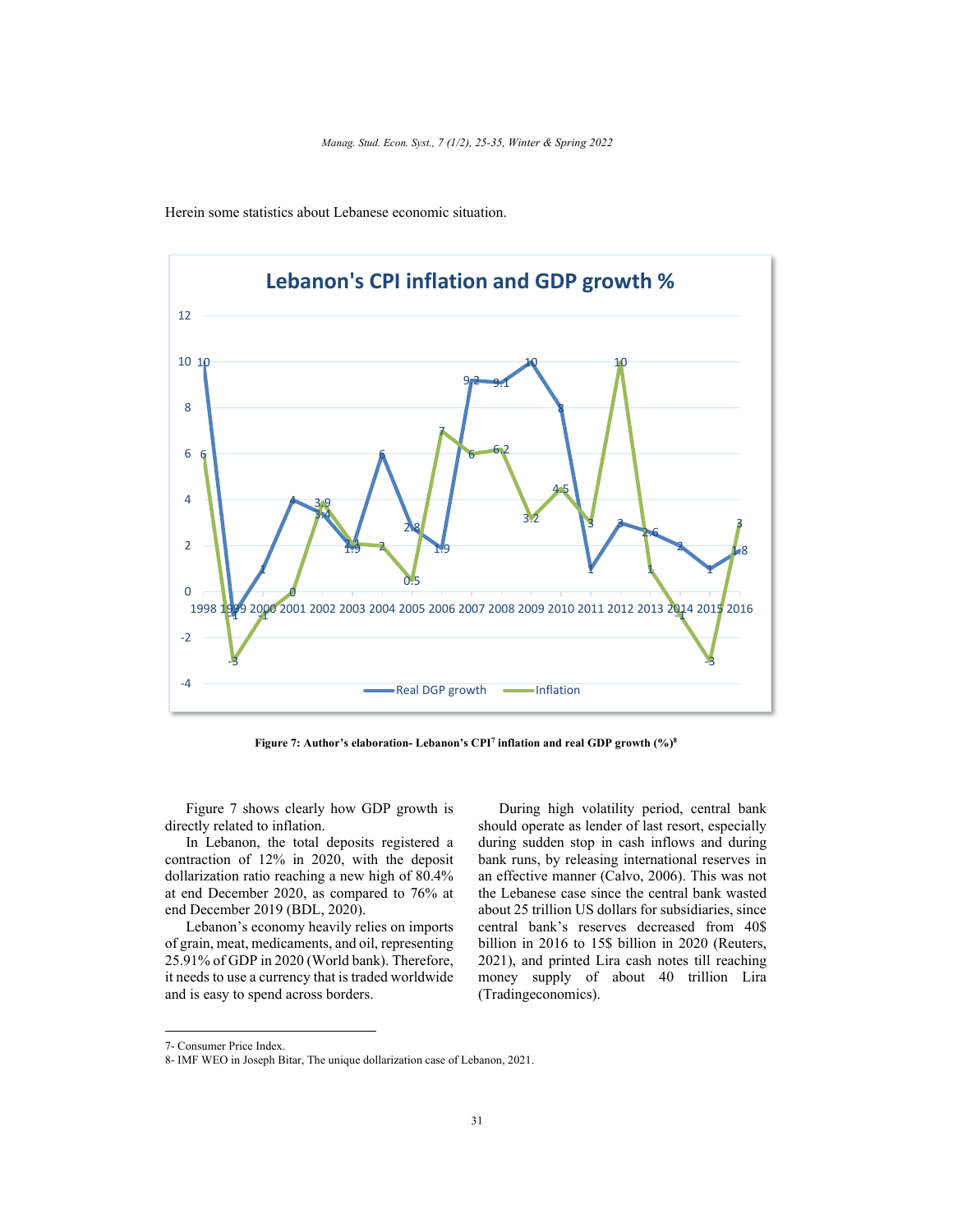

Herein some statistics about Lebanese economic situation.

**Figure 7: Author's elaboration- Lebanon's CPI7 inflation and real GDP growth (%)8**

Figure 7 shows clearly how GDP growth is directly related to inflation.

In Lebanon, the total deposits registered a contraction of 12% in 2020, with the deposit dollarization ratio reaching a new high of 80.4% at end December 2020, as compared to 76% at end December 2019 (BDL, 2020).

Lebanon's economy heavily relies on imports of grain, meat, medicaments, and oil, representing 25.91% of GDP in 2020 (World bank). Therefore, it needs to use a currency that is traded worldwide and is easy to spend across borders.

During high volatility period, central bank should operate as lender of last resort, especially during sudden stop in cash inflows and during bank runs, by releasing international reserves in an effective manner (Calvo, 2006). This was not the Lebanese case since the central bank wasted about 25 trillion US dollars for subsidiaries, since central bank's reserves decreased from 40\$ billion in 2016 to 15\$ billion in 2020 (Reuters, 2021), and printed Lira cash notes till reaching money supply of about 40 trillion Lira (Tradingeconomics).

<sup>7-</sup> Consumer Price Index.

<sup>8-</sup> IMF WEO in Joseph Bitar, The unique dollarization case of Lebanon, 2021.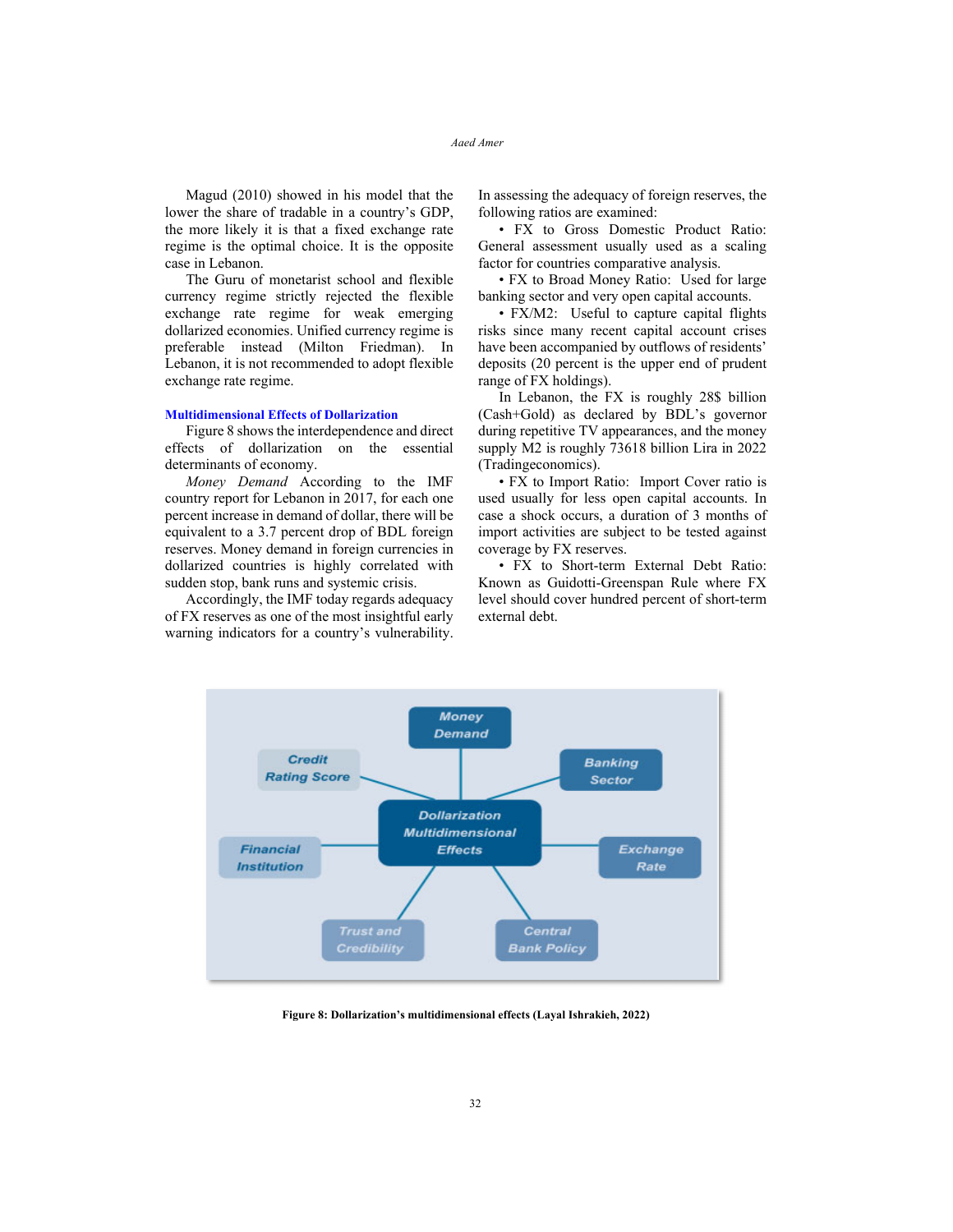Magud (2010) showed in his model that the lower the share of tradable in a country's GDP, the more likely it is that a fixed exchange rate regime is the optimal choice. It is the opposite case in Lebanon.

The Guru of monetarist school and flexible currency regime strictly rejected the flexible exchange rate regime for weak emerging dollarized economies. Unified currency regime is preferable instead (Milton Friedman). In Lebanon, it is not recommended to adopt flexible exchange rate regime.

#### **Multidimensional Effects of Dollarization**

Figure 8 shows the interdependence and direct effects of dollarization on the essential determinants of economy.

*Money Demand* According to the IMF country report for Lebanon in 2017, for each one percent increase in demand of dollar, there will be equivalent to a 3.7 percent drop of BDL foreign reserves. Money demand in foreign currencies in dollarized countries is highly correlated with sudden stop, bank runs and systemic crisis.

Accordingly, the IMF today regards adequacy of FX reserves as one of the most insightful early warning indicators for a country's vulnerability. In assessing the adequacy of foreign reserves, the following ratios are examined:

• FX to Gross Domestic Product Ratio: General assessment usually used as a scaling factor for countries comparative analysis.

• FX to Broad Money Ratio: Used for large banking sector and very open capital accounts.

• FX/M2: Useful to capture capital flights risks since many recent capital account crises have been accompanied by outflows of residents' deposits (20 percent is the upper end of prudent range of FX holdings).

In Lebanon, the FX is roughly 28\$ billion (Cash+Gold) as declared by BDL's governor during repetitive TV appearances, and the money supply M2 is roughly 73618 billion Lira in 2022 (Tradingeconomics).

• FX to Import Ratio: Import Cover ratio is used usually for less open capital accounts. In case a shock occurs, a duration of 3 months of import activities are subject to be tested against coverage by FX reserves.

• FX to Short-term External Debt Ratio: Known as Guidotti-Greenspan Rule where FX level should cover hundred percent of short-term external debt.



**Figure 8: Dollarization's multidimensional effects (Layal Ishrakieh, 2022)**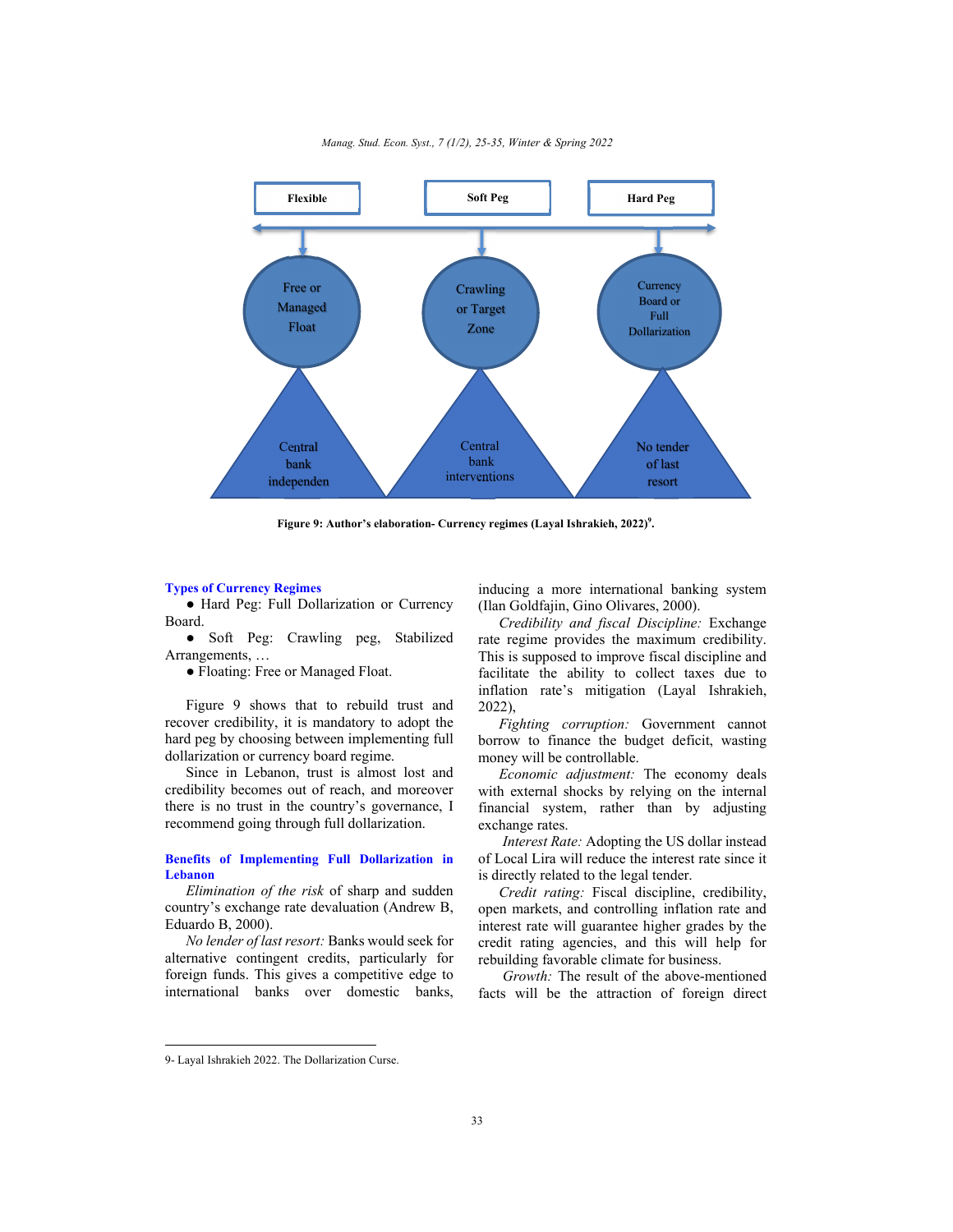

*Manag. Stud. Econ. Syst., 7 (1/2), 25-35, Winter & Spring 2022* 

Figure 9: Author's elaboration- Currency regimes (Layal Ishrakieh, 2022)<sup>9</sup>.

## **Types of Currency Regimes**

● Hard Peg: Full Dollarization or Currency Board.

Soft Peg: Crawling peg, Stabilized Arrangements, …

● Floating: Free or Managed Float.

Figure 9 shows that to rebuild trust and recover credibility, it is mandatory to adopt the hard peg by choosing between implementing full dollarization or currency board regime.

Since in Lebanon, trust is almost lost and credibility becomes out of reach, and moreover there is no trust in the country's governance, I recommend going through full dollarization.

## **Benefits of Implementing Full Dollarization in Lebanon**

*Elimination of the risk* of sharp and sudden country's exchange rate devaluation (Andrew B, Eduardo B, 2000).

*No lender of last resort:* Banks would seek for alternative contingent credits, particularly for foreign funds. This gives a competitive edge to international banks over domestic banks,

inducing a more international banking system (Ilan Goldfajin, Gino Olivares, 2000).

*Credibility and fiscal Discipline:* Exchange rate regime provides the maximum credibility. This is supposed to improve fiscal discipline and facilitate the ability to collect taxes due to inflation rate's mitigation (Layal Ishrakieh, 2022),

*Fighting corruption:* Government cannot borrow to finance the budget deficit, wasting money will be controllable.

*Economic adjustment:* The economy deals with external shocks by relying on the internal financial system, rather than by adjusting exchange rates.

*Interest Rate:* Adopting the US dollar instead of Local Lira will reduce the interest rate since it is directly related to the legal tender.

*Credit rating:* Fiscal discipline, credibility, open markets, and controlling inflation rate and interest rate will guarantee higher grades by the credit rating agencies, and this will help for rebuilding favorable climate for business.

 *Growth:* The result of the above-mentioned facts will be the attraction of foreign direct

<sup>9-</sup> Layal Ishrakieh 2022. The Dollarization Curse.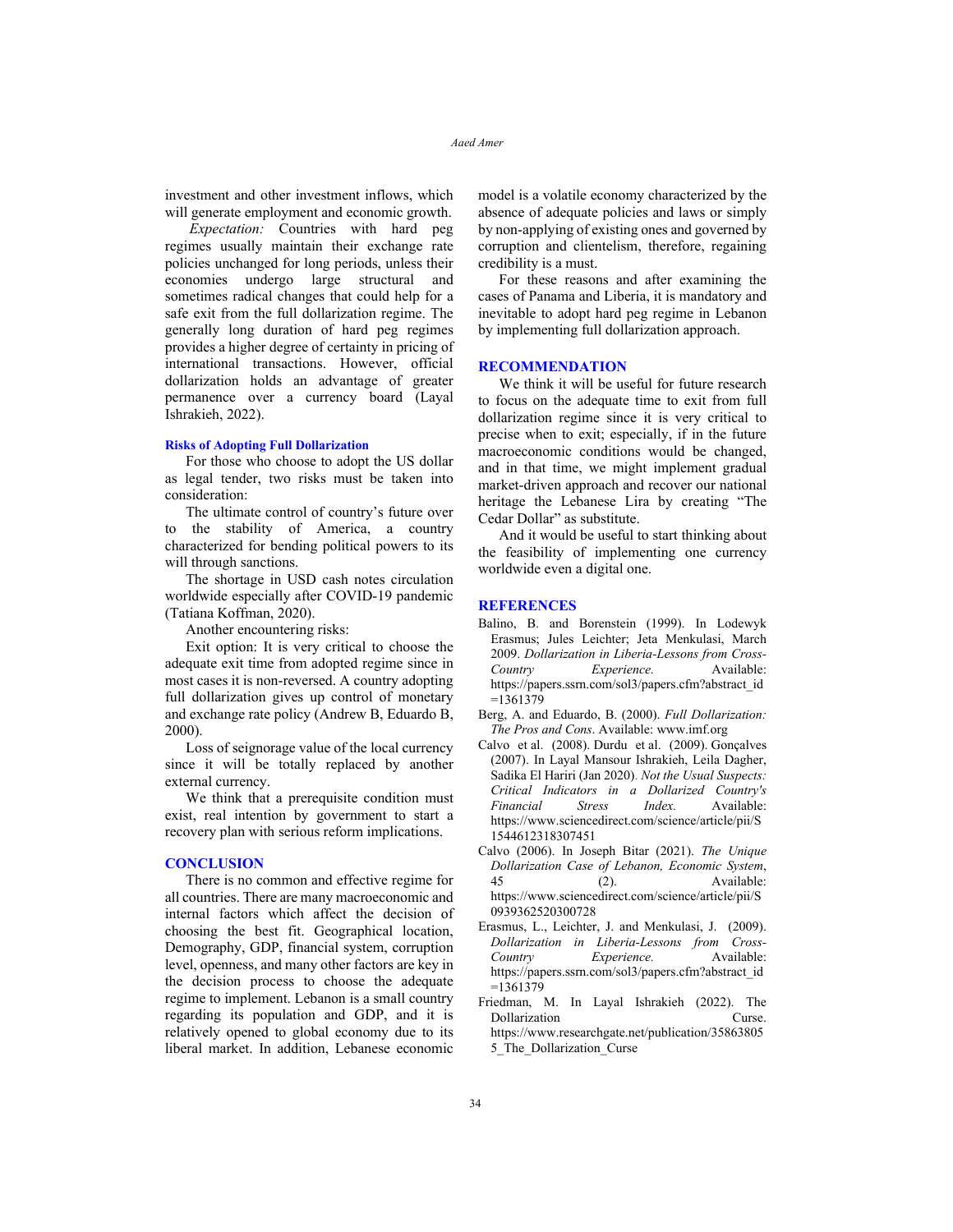investment and other investment inflows, which will generate employment and economic growth.

 *Expectation:* Countries with hard peg regimes usually maintain their exchange rate policies unchanged for long periods, unless their economies undergo large structural and sometimes radical changes that could help for a safe exit from the full dollarization regime. The generally long duration of hard peg regimes provides a higher degree of certainty in pricing of international transactions. However, official dollarization holds an advantage of greater permanence over a currency board (Layal Ishrakieh, 2022).

#### **Risks of Adopting Full Dollarization**

For those who choose to adopt the US dollar as legal tender, two risks must be taken into consideration:

The ultimate control of country's future over to the stability of America, a country characterized for bending political powers to its will through sanctions.

The shortage in USD cash notes circulation worldwide especially after COVID-19 pandemic (Tatiana Koffman, 2020).

Another encountering risks:

Exit option: It is very critical to choose the adequate exit time from adopted regime since in most cases it is non-reversed. A country adopting full dollarization gives up control of monetary and exchange rate policy (Andrew B, Eduardo B, 2000).

Loss of seignorage value of the local currency since it will be totally replaced by another external currency.

We think that a prerequisite condition must exist, real intention by government to start a recovery plan with serious reform implications.

## **CONCLUSION**

There is no common and effective regime for all countries. There are many macroeconomic and internal factors which affect the decision of choosing the best fit. Geographical location, Demography, GDP, financial system, corruption level, openness, and many other factors are key in the decision process to choose the adequate regime to implement. Lebanon is a small country regarding its population and GDP, and it is relatively opened to global economy due to its liberal market. In addition, Lebanese economic

model is a volatile economy characterized by the absence of adequate policies and laws or simply by non-applying of existing ones and governed by corruption and clientelism, therefore, regaining credibility is a must.

For these reasons and after examining the cases of Panama and Liberia, it is mandatory and inevitable to adopt hard peg regime in Lebanon by implementing full dollarization approach.

## **RECOMMENDATION**

We think it will be useful for future research to focus on the adequate time to exit from full dollarization regime since it is very critical to precise when to exit; especially, if in the future macroeconomic conditions would be changed, and in that time, we might implement gradual market-driven approach and recover our national heritage the Lebanese Lira by creating "The Cedar Dollar" as substitute.

And it would be useful to start thinking about the feasibility of implementing one currency worldwide even a digital one.

## **REFERENCES**

- Balino, B. and Borenstein (1999). In Lodewyk Erasmus; Jules Leichter; Jeta Menkulasi, March 2009. *Dollarization in Liberia-Lessons from Cross-Country Experience.* Available: https://papers.ssrn.com/sol3/papers.cfm?abstract\_id  $=1361379$
- Berg, A. and Eduardo, B. (2000). *Full Dollarization: The Pros and Cons*. Available: www.imf.org
- Calvo et al. (2008). Durdu et al. (2009). Gonçalves (2007). In Layal Mansour Ishrakieh, Leila Dagher, Sadika El Hariri (Jan 2020). *Not the Usual Suspects: Critical Indicators in a Dollarized Country's Financial Stress Index.* Available: https://www.sciencedirect.com/science/article/pii/S 1544612318307451
- Calvo (2006). In Joseph Bitar (2021). *The Unique Dollarization Case of Lebanon, Economic System*, 45 (2). Available: https://www.sciencedirect.com/science/article/pii/S 0939362520300728
- Erasmus, L., Leichter, J. and Menkulasi, J. (2009). *Dollarization in Liberia-Lessons from Cross-Country Experience.* Available: https://papers.ssrn.com/sol3/papers.cfm?abstract\_id  $=1361379$
- Friedman, M. In Layal Ishrakieh (2022). The Dollarization Curse. https://www.researchgate.net/publication/35863805 5\_The\_Dollarization\_Curse